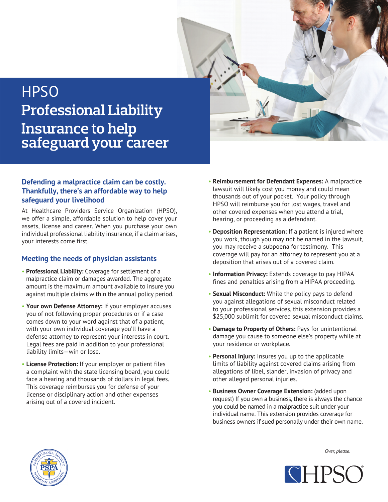

## **HPSO Professional Liability Insurance to help safeguard your career**

## **Defending a malpractice claim can be costly. Thankfully, there's an affordable way to help safeguard your livelihood**

At Healthcare Providers Service Organization (HPSO), we offer a simple, affordable solution to help cover your assets, license and career. When you purchase your own individual professional liability insurance, if a claim arises, your interests come first.

## **Meeting the needs of physician assistants**

- **Professional Liability:** Coverage for settlement of a malpractice claim or damages awarded. The aggregate amount is the maximum amount available to insure you against multiple claims within the annual policy period.
- **Your own Defense Attorney:** If your employer accuses you of not following proper procedures or if a case comes down to your word against that of a patient, with your own individual coverage you'll have a defense attorney to represent your interests in court. Legal fees are paid in addition to your professional liability limits—win or lose.
- **License Protection:** If your employer or patient files a complaint with the state licensing board, you could face a hearing and thousands of dollars in legal fees. This coverage reimburses you for defense of your license or disciplinary action and other expenses arising out of a covered incident.
- **Reimbursement for Defendant Expenses:** A malpractice lawsuit will likely cost you money and could mean thousands out of your pocket. Your policy through HPSO will reimburse you for lost wages, travel and other covered expenses when you attend a trial, hearing, or proceeding as a defendant.
- **Deposition Representation:** If a patient is injured where you work, though you may not be named in the lawsuit, you may receive a subpoena for testimony. This coverage will pay for an attorney to represent you at a deposition that arises out of a covered claim.
- **Information Privacy:** Extends coverage to pay HIPAA fines and penalties arising from a HIPAA proceeding.
- **Sexual Misconduct:** While the policy pays to defend you against allegations of sexual misconduct related to your professional services, this extension provides a \$25,000 sublimit for covered sexual misconduct claims.
- **Damage to Property of Others:** Pays for unintentional damage you cause to someone else's property while at your residence or workplace.
- **Personal Injury:** Insures you up to the applicable limits of liability against covered claims arising from allegations of libel, slander, invasion of privacy and other alleged personal injuries.
- **Business Owner Coverage Extension:** (added upon request) If you own a business, there is always the chance you could be named in a malpractice suit under your individual name. This extension provides coverage for business owners if sued personally under their own name.



*Over, please.*